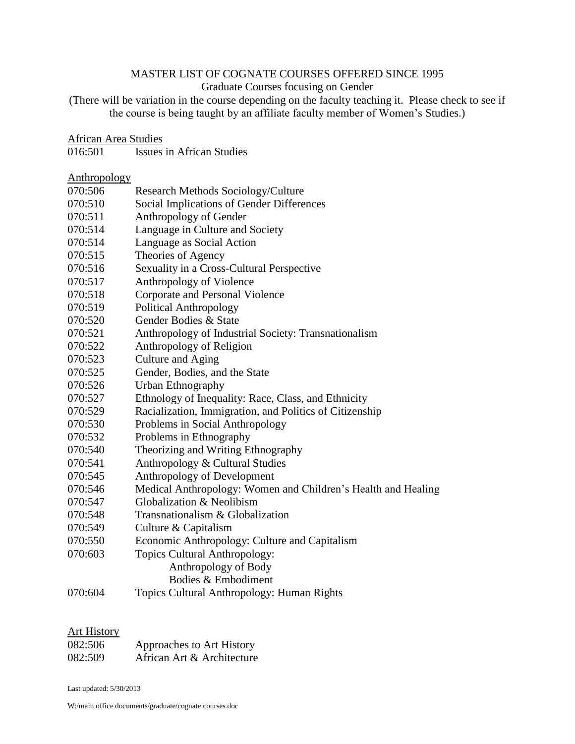# MASTER LIST OF COGNATE COURSES OFFERED SINCE 1995

# Graduate Courses focusing on Gender

(There will be variation in the course depending on the faculty teaching it. Please check to see if the course is being taught by an affiliate faculty member of Women's Studies.)

#### African Area Studies

| 016:501 |  | Issues in African Studies |
|---------|--|---------------------------|
|         |  |                           |

# Anthropology<br>070:506

| 070:506 | Research Methods Sociology/Culture                            |
|---------|---------------------------------------------------------------|
| 070:510 | Social Implications of Gender Differences                     |
| 070:511 | Anthropology of Gender                                        |
| 070:514 | Language in Culture and Society                               |
| 070:514 | Language as Social Action                                     |
| 070:515 | Theories of Agency                                            |
| 070:516 | Sexuality in a Cross-Cultural Perspective                     |
| 070:517 | Anthropology of Violence                                      |
| 070:518 | Corporate and Personal Violence                               |
| 070:519 | <b>Political Anthropology</b>                                 |
| 070:520 | Gender Bodies & State                                         |
| 070:521 | Anthropology of Industrial Society: Transnationalism          |
| 070:522 | Anthropology of Religion                                      |
| 070:523 | Culture and Aging                                             |
| 070:525 | Gender, Bodies, and the State                                 |
| 070:526 | Urban Ethnography                                             |
| 070:527 | Ethnology of Inequality: Race, Class, and Ethnicity           |
| 070:529 | Racialization, Immigration, and Politics of Citizenship       |
| 070:530 | Problems in Social Anthropology                               |
| 070:532 | Problems in Ethnography                                       |
| 070:540 | Theorizing and Writing Ethnography                            |
| 070:541 | Anthropology & Cultural Studies                               |
| 070:545 | Anthropology of Development                                   |
| 070:546 | Medical Anthropology: Women and Children's Health and Healing |
| 070:547 | Globalization & Neolibism                                     |
| 070:548 | Transnationalism & Globalization                              |
| 070:549 | Culture & Capitalism                                          |
| 070:550 | Economic Anthropology: Culture and Capitalism                 |
| 070:603 | <b>Topics Cultural Anthropology:</b>                          |
|         | Anthropology of Body                                          |
|         | Bodies & Embodiment                                           |
| 070:604 | Topics Cultural Anthropology: Human Rights                    |
|         |                                                               |

## Art History

| 082:506 | Approaches to Art History  |
|---------|----------------------------|
| 082:509 | African Art & Architecture |

Last updated: 5/30/2013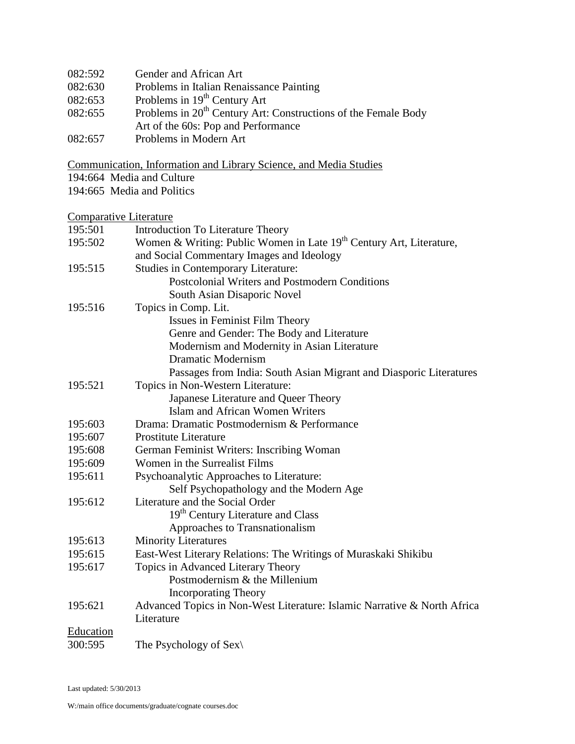| 082:592 | Gender and African Art                                                     |
|---------|----------------------------------------------------------------------------|
| 082:630 | Problems in Italian Renaissance Painting                                   |
| 082:653 | Problems in 19 <sup>th</sup> Century Art                                   |
| 082:655 | Problems in 20 <sup>th</sup> Century Art: Constructions of the Female Body |
|         | Art of the 60s: Pop and Performance                                        |
| 082:657 | Problems in Modern Art                                                     |

Communication, Information and Library Science, and Media Studies

- 194:664 Media and Culture
- 194:665 Media and Politics

# Comparative Literature

| 195:501   | Introduction To Literature Theory                                               |
|-----------|---------------------------------------------------------------------------------|
| 195:502   | Women & Writing: Public Women in Late 19 <sup>th</sup> Century Art, Literature, |
|           | and Social Commentary Images and Ideology                                       |
| 195:515   | <b>Studies in Contemporary Literature:</b>                                      |
|           | <b>Postcolonial Writers and Postmodern Conditions</b>                           |
|           | South Asian Disaporic Novel                                                     |
| 195:516   | Topics in Comp. Lit.                                                            |
|           | Issues in Feminist Film Theory                                                  |
|           | Genre and Gender: The Body and Literature                                       |
|           | Modernism and Modernity in Asian Literature                                     |
|           | <b>Dramatic Modernism</b>                                                       |
|           | Passages from India: South Asian Migrant and Diasporic Literatures              |
| 195:521   | Topics in Non-Western Literature:                                               |
|           | Japanese Literature and Queer Theory                                            |
|           | Islam and African Women Writers                                                 |
| 195:603   | Drama: Dramatic Postmodernism & Performance                                     |
| 195:607   | <b>Prostitute Literature</b>                                                    |
| 195:608   | German Feminist Writers: Inscribing Woman                                       |
| 195:609   | Women in the Surrealist Films                                                   |
| 195:611   | Psychoanalytic Approaches to Literature:                                        |
|           | Self Psychopathology and the Modern Age                                         |
| 195:612   | Literature and the Social Order                                                 |
|           | 19 <sup>th</sup> Century Literature and Class                                   |
|           | Approaches to Transnationalism                                                  |
| 195:613   | <b>Minority Literatures</b>                                                     |
| 195:615   | East-West Literary Relations: The Writings of Muraskaki Shikibu                 |
| 195:617   | Topics in Advanced Literary Theory                                              |
|           | Postmodernism & the Millenium                                                   |
|           | <b>Incorporating Theory</b>                                                     |
| 195:621   | Advanced Topics in Non-West Literature: Islamic Narrative & North Africa        |
|           | Literature                                                                      |
| Education |                                                                                 |
| 300:595   | The Psychology of Sex $\langle$                                                 |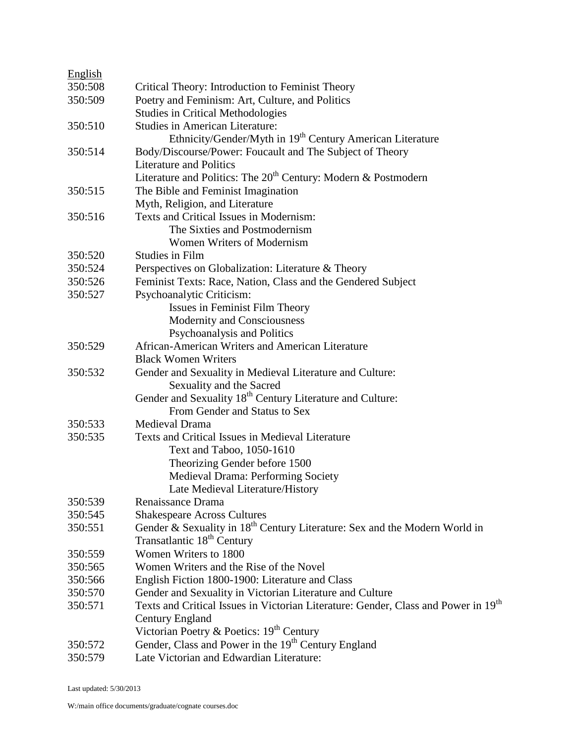| English |                                                                                                |
|---------|------------------------------------------------------------------------------------------------|
| 350:508 | Critical Theory: Introduction to Feminist Theory                                               |
| 350:509 | Poetry and Feminism: Art, Culture, and Politics                                                |
|         | <b>Studies in Critical Methodologies</b>                                                       |
| 350:510 | <b>Studies in American Literature:</b>                                                         |
|         | Ethnicity/Gender/Myth in 19 <sup>th</sup> Century American Literature                          |
| 350:514 | Body/Discourse/Power: Foucault and The Subject of Theory                                       |
|         | <b>Literature and Politics</b>                                                                 |
|         | Literature and Politics: The $20th$ Century: Modern & Postmodern                               |
| 350:515 | The Bible and Feminist Imagination                                                             |
|         | Myth, Religion, and Literature                                                                 |
| 350:516 | Texts and Critical Issues in Modernism:                                                        |
|         | The Sixties and Postmodernism                                                                  |
|         | <b>Women Writers of Modernism</b>                                                              |
| 350:520 | <b>Studies in Film</b>                                                                         |
| 350:524 | Perspectives on Globalization: Literature & Theory                                             |
| 350:526 | Feminist Texts: Race, Nation, Class and the Gendered Subject                                   |
| 350:527 | Psychoanalytic Criticism:                                                                      |
|         | Issues in Feminist Film Theory                                                                 |
|         | Modernity and Consciousness                                                                    |
|         | Psychoanalysis and Politics                                                                    |
| 350:529 | African-American Writers and American Literature                                               |
|         | <b>Black Women Writers</b>                                                                     |
| 350:532 | Gender and Sexuality in Medieval Literature and Culture:                                       |
|         | Sexuality and the Sacred                                                                       |
|         | Gender and Sexuality 18 <sup>th</sup> Century Literature and Culture:                          |
|         | From Gender and Status to Sex                                                                  |
| 350:533 | Medieval Drama                                                                                 |
| 350:535 | Texts and Critical Issues in Medieval Literature                                               |
|         | Text and Taboo, 1050-1610                                                                      |
|         | Theorizing Gender before 1500                                                                  |
|         | <b>Medieval Drama: Performing Society</b>                                                      |
|         | Late Medieval Literature/History                                                               |
| 350:539 | Renaissance Drama                                                                              |
| 350:545 | <b>Shakespeare Across Cultures</b>                                                             |
| 350:551 | Gender & Sexuality in 18 <sup>th</sup> Century Literature: Sex and the Modern World in         |
|         | Transatlantic 18 <sup>th</sup> Century                                                         |
| 350:559 | Women Writers to 1800                                                                          |
| 350:565 | Women Writers and the Rise of the Novel                                                        |
| 350:566 | English Fiction 1800-1900: Literature and Class                                                |
| 350:570 | Gender and Sexuality in Victorian Literature and Culture                                       |
| 350:571 | Texts and Critical Issues in Victorian Literature: Gender, Class and Power in 19 <sup>th</sup> |
|         | Century England                                                                                |
|         | Victorian Poetry & Poetics: 19 <sup>th</sup> Century                                           |
| 350:572 | Gender, Class and Power in the 19 <sup>th</sup> Century England                                |
| 350:579 | Late Victorian and Edwardian Literature:                                                       |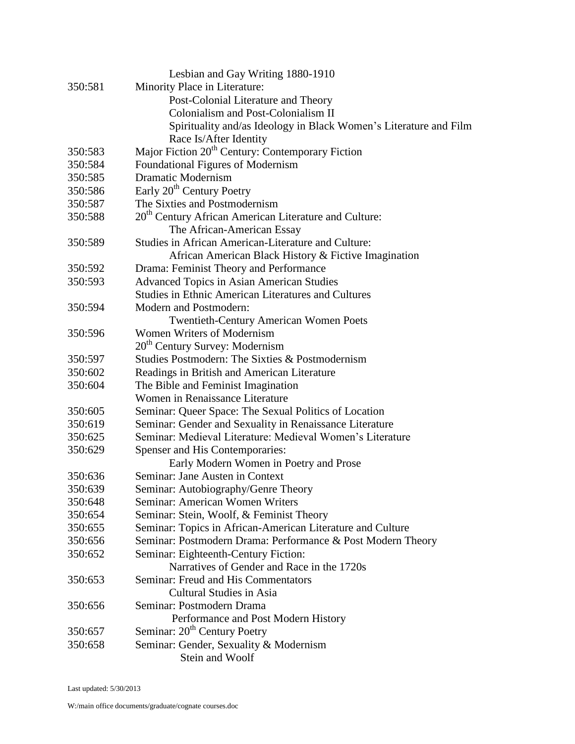|         | Lesbian and Gay Writing 1880-1910                                 |
|---------|-------------------------------------------------------------------|
| 350:581 | Minority Place in Literature:                                     |
|         | Post-Colonial Literature and Theory                               |
|         | Colonialism and Post-Colonialism II                               |
|         | Spirituality and/as Ideology in Black Women's Literature and Film |
|         | Race Is/After Identity                                            |
| 350:583 | Major Fiction 20 <sup>th</sup> Century: Contemporary Fiction      |
| 350:584 | Foundational Figures of Modernism                                 |
| 350:585 | <b>Dramatic Modernism</b>                                         |
| 350:586 | Early 20 <sup>th</sup> Century Poetry                             |
| 350:587 | The Sixties and Postmodernism                                     |
| 350:588 | 20 <sup>th</sup> Century African American Literature and Culture: |
|         | The African-American Essay                                        |
| 350:589 | Studies in African American-Literature and Culture:               |
|         | African American Black History & Fictive Imagination              |
| 350:592 | Drama: Feminist Theory and Performance                            |
| 350:593 | <b>Advanced Topics in Asian American Studies</b>                  |
|         | <b>Studies in Ethnic American Literatures and Cultures</b>        |
| 350:594 | Modern and Postmodern:                                            |
|         | <b>Twentieth-Century American Women Poets</b>                     |
| 350:596 | Women Writers of Modernism                                        |
|         | 20 <sup>th</sup> Century Survey: Modernism                        |
| 350:597 | Studies Postmodern: The Sixties & Postmodernism                   |
| 350:602 | Readings in British and American Literature                       |
| 350:604 | The Bible and Feminist Imagination                                |
|         | Women in Renaissance Literature                                   |
| 350:605 | Seminar: Queer Space: The Sexual Politics of Location             |
| 350:619 | Seminar: Gender and Sexuality in Renaissance Literature           |
| 350:625 | Seminar: Medieval Literature: Medieval Women's Literature         |
| 350:629 | Spenser and His Contemporaries:                                   |
|         | Early Modern Women in Poetry and Prose                            |
| 350:636 | Seminar: Jane Austen in Context                                   |
| 350:639 | Seminar: Autobiography/Genre Theory                               |
| 350:648 | Seminar: American Women Writers                                   |
| 350:654 | Seminar: Stein, Woolf, & Feminist Theory                          |
| 350:655 | Seminar: Topics in African-American Literature and Culture        |
| 350:656 | Seminar: Postmodern Drama: Performance & Post Modern Theory       |
| 350:652 | Seminar: Eighteenth-Century Fiction:                              |
|         | Narratives of Gender and Race in the 1720s                        |
| 350:653 | Seminar: Freud and His Commentators                               |
|         | <b>Cultural Studies in Asia</b>                                   |
| 350:656 | Seminar: Postmodern Drama                                         |
|         | Performance and Post Modern History                               |
| 350:657 | Seminar: 20 <sup>th</sup> Century Poetry                          |
| 350:658 | Seminar: Gender, Sexuality & Modernism                            |
|         | Stein and Woolf                                                   |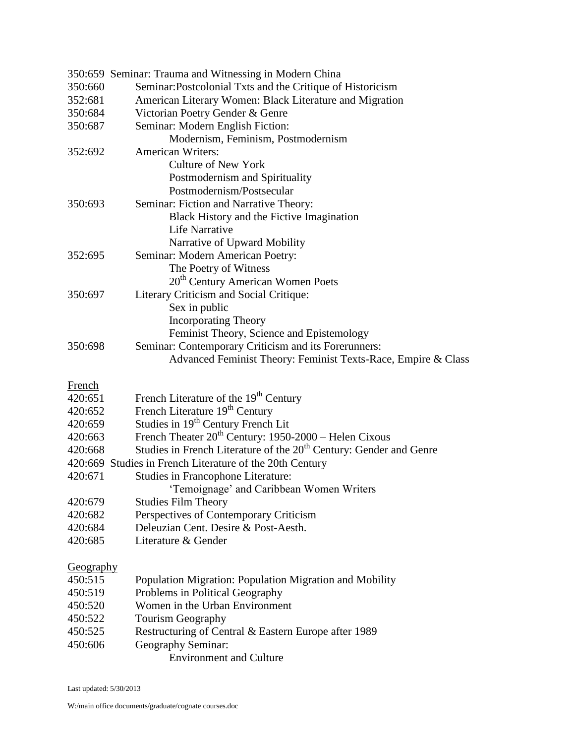|               | 350:659 Seminar: Trauma and Witnessing in Modern China                         |
|---------------|--------------------------------------------------------------------------------|
| 350:660       | Seminar: Postcolonial Txts and the Critique of Historicism                     |
| 352:681       | American Literary Women: Black Literature and Migration                        |
| 350:684       | Victorian Poetry Gender & Genre                                                |
| 350:687       | Seminar: Modern English Fiction:                                               |
|               | Modernism, Feminism, Postmodernism                                             |
| 352:692       | <b>American Writers:</b>                                                       |
|               | <b>Culture of New York</b>                                                     |
|               | Postmodernism and Spirituality                                                 |
|               | Postmodernism/Postsecular                                                      |
| 350:693       | Seminar: Fiction and Narrative Theory:                                         |
|               | Black History and the Fictive Imagination                                      |
|               | <b>Life Narrative</b>                                                          |
|               | Narrative of Upward Mobility                                                   |
| 352:695       | Seminar: Modern American Poetry:                                               |
|               | The Poetry of Witness                                                          |
|               | 20 <sup>th</sup> Century American Women Poets                                  |
| 350:697       | Literary Criticism and Social Critique:                                        |
|               | Sex in public                                                                  |
|               | <b>Incorporating Theory</b>                                                    |
|               | Feminist Theory, Science and Epistemology                                      |
| 350:698       | Seminar: Contemporary Criticism and its Forerunners:                           |
|               | Advanced Feminist Theory: Feminist Texts-Race, Empire & Class                  |
| <b>French</b> |                                                                                |
| 420:651       | French Literature of the 19 <sup>th</sup> Century                              |
| 420:652       | French Literature 19 <sup>th</sup> Century                                     |
| 420:659       | Studies in 19 <sup>th</sup> Century French Lit                                 |
| 420:663       | French Theater 20 <sup>th</sup> Century: 1950-2000 - Helen Cixous              |
| 420:668       | Studies in French Literature of the 20 <sup>th</sup> Century: Gender and Genre |
|               | 420:669 Studies in French Literature of the 20th Century                       |
| 420:671       | <b>Studies in Francophone Literature:</b>                                      |
|               | Temoignage' and Caribbean Women Writers                                        |
| 420:679       | <b>Studies Film Theory</b>                                                     |
| 420:682       | Perspectives of Contemporary Criticism                                         |
| 420:684       | Deleuzian Cent. Desire & Post-Aesth.                                           |
| 420:685       | Literature & Gender                                                            |
| Geography     |                                                                                |
| 450:515       | Population Migration: Population Migration and Mobility                        |
| 450:519       | Problems in Political Geography                                                |
| 450:520       | Women in the Urban Environment                                                 |
| 450:522       |                                                                                |
| 450:525       |                                                                                |
|               | <b>Tourism Geography</b>                                                       |
| 450:606       | Restructuring of Central & Eastern Europe after 1989<br>Geography Seminar:     |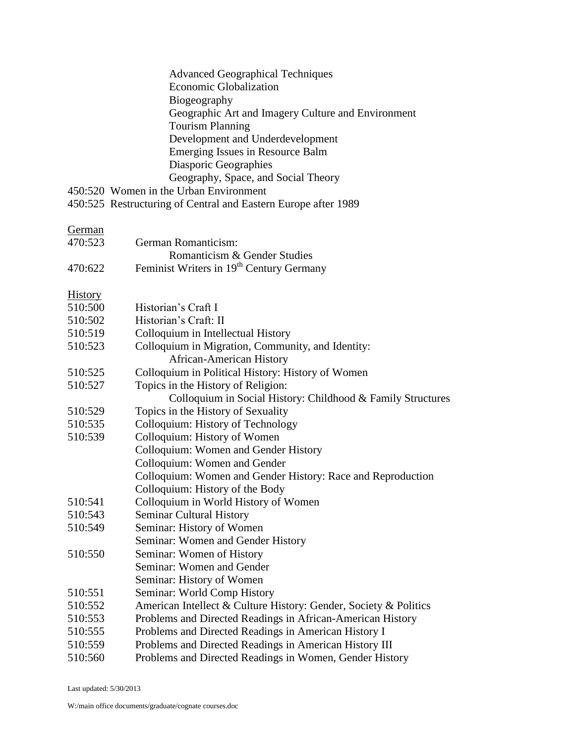|                | <b>Advanced Geographical Techniques</b><br><b>Economic Globalization</b><br>Biogeography<br>Geographic Art and Imagery Culture and Environment<br><b>Tourism Planning</b><br>Development and Underdevelopment<br>Emerging Issues in Resource Balm<br>Diasporic Geographies<br>Geography, Space, and Social Theory |
|----------------|-------------------------------------------------------------------------------------------------------------------------------------------------------------------------------------------------------------------------------------------------------------------------------------------------------------------|
|                | 450:520 Women in the Urban Environment                                                                                                                                                                                                                                                                            |
|                | 450:525 Restructuring of Central and Eastern Europe after 1989                                                                                                                                                                                                                                                    |
| German         |                                                                                                                                                                                                                                                                                                                   |
| 470:523        | German Romanticism:                                                                                                                                                                                                                                                                                               |
|                | Romanticism & Gender Studies                                                                                                                                                                                                                                                                                      |
| 470:622        | Feminist Writers in 19 <sup>th</sup> Century Germany                                                                                                                                                                                                                                                              |
| <b>History</b> |                                                                                                                                                                                                                                                                                                                   |
| 510:500        | Historian's Craft I                                                                                                                                                                                                                                                                                               |
| 510:502        | Historian's Craft: II                                                                                                                                                                                                                                                                                             |
| 510:519        | Colloquium in Intellectual History                                                                                                                                                                                                                                                                                |
| 510:523        | Colloquium in Migration, Community, and Identity:                                                                                                                                                                                                                                                                 |
|                | <b>African-American History</b>                                                                                                                                                                                                                                                                                   |
| 510:525        | Colloquium in Political History: History of Women                                                                                                                                                                                                                                                                 |
| 510:527        | Topics in the History of Religion:                                                                                                                                                                                                                                                                                |
|                | Colloquium in Social History: Childhood & Family Structures                                                                                                                                                                                                                                                       |
| 510:529        | Topics in the History of Sexuality                                                                                                                                                                                                                                                                                |
| 510:535        | Colloquium: History of Technology                                                                                                                                                                                                                                                                                 |
| 510:539        | Colloquium: History of Women                                                                                                                                                                                                                                                                                      |
|                | Colloquium: Women and Gender History                                                                                                                                                                                                                                                                              |
|                | Colloquium: Women and Gender                                                                                                                                                                                                                                                                                      |
|                | Colloquium: Women and Gender History: Race and Reproduction                                                                                                                                                                                                                                                       |
|                | Colloquium: History of the Body                                                                                                                                                                                                                                                                                   |
| 510:541        | Colloquium in World History of Women                                                                                                                                                                                                                                                                              |
| 510:543        | <b>Seminar Cultural History</b>                                                                                                                                                                                                                                                                                   |
| 510:549        | Seminar: History of Women                                                                                                                                                                                                                                                                                         |
|                | Seminar: Women and Gender History                                                                                                                                                                                                                                                                                 |
| 510:550        | Seminar: Women of History                                                                                                                                                                                                                                                                                         |
|                | Seminar: Women and Gender                                                                                                                                                                                                                                                                                         |
|                | Seminar: History of Women                                                                                                                                                                                                                                                                                         |
| 510:551        | Seminar: World Comp History                                                                                                                                                                                                                                                                                       |
| 510:552        | American Intellect & Culture History: Gender, Society & Politics                                                                                                                                                                                                                                                  |
| 510:553        | Problems and Directed Readings in African-American History                                                                                                                                                                                                                                                        |
| 510:555        | Problems and Directed Readings in American History I                                                                                                                                                                                                                                                              |
| 510:559        | Problems and Directed Readings in American History III                                                                                                                                                                                                                                                            |
| 510:560        | Problems and Directed Readings in Women, Gender History                                                                                                                                                                                                                                                           |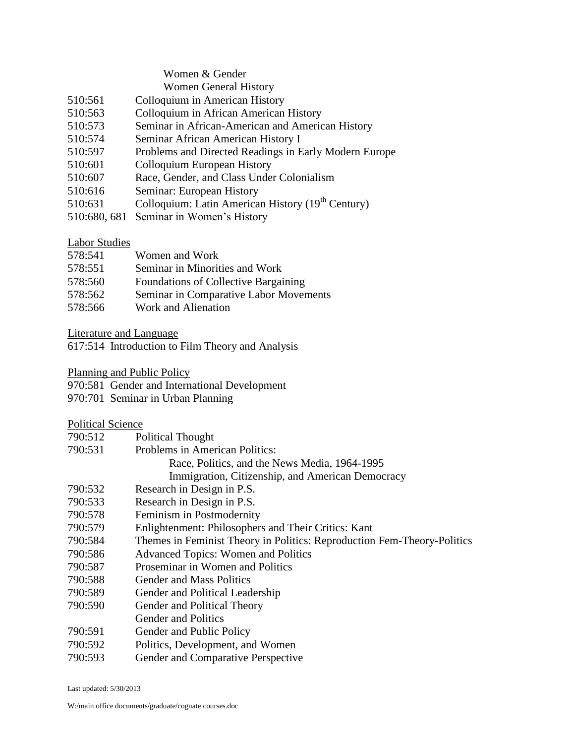## Women & Gender Women General History

- 510:561 Colloquium in American History
- 510:563 Colloquium in African American History
- 510:573 Seminar in African-American and American History
- 510:574 Seminar African American History I
- 510:597 Problems and Directed Readings in Early Modern Europe
- 510:601 Colloquium European History
- 510:607 Race, Gender, and Class Under Colonialism
- 510:616 Seminar: European History
- 510:631 Colloquium: Latin American History (19<sup>th</sup> Century)
- 510:680, 681 Seminar in Women's History

# Labor Studies

| 578:541 | Women and Work                              |
|---------|---------------------------------------------|
| 578:551 | Seminar in Minorities and Work              |
| 578:560 | <b>Foundations of Collective Bargaining</b> |
| 578:562 | Seminar in Comparative Labor Movements      |
| 578:566 | Work and Alienation                         |

Literature and Language

617:514 Introduction to Film Theory and Analysis

Planning and Public Policy

- 970:581 Gender and International Development
- 970:701 Seminar in Urban Planning

# Political Science

| 790:512 | <b>Political Thought</b> |
|---------|--------------------------|
|---------|--------------------------|

- 790:531 Problems in American Politics: Race, Politics, and the News Media, 1964-1995 Immigration, Citizenship, and American Democracy
- 790:532 Research in Design in P.S.
- 790:533 Research in Design in P.S.
- 790:578 Feminism in Postmodernity
- 790:579 Enlightenment: Philosophers and Their Critics: Kant
- 790:584 Themes in Feminist Theory in Politics: Reproduction Fem-Theory-Politics
- 790:586 Advanced Topics: Women and Politics
- 790:587 Proseminar in Women and Politics
- 790:588 Gender and Mass Politics
- 790:589 Gender and Political Leadership
- 790:590 Gender and Political Theory
- Gender and Politics
- 790:591 Gender and Public Policy
- 790:592 Politics, Development, and Women
- 790:593 Gender and Comparative Perspective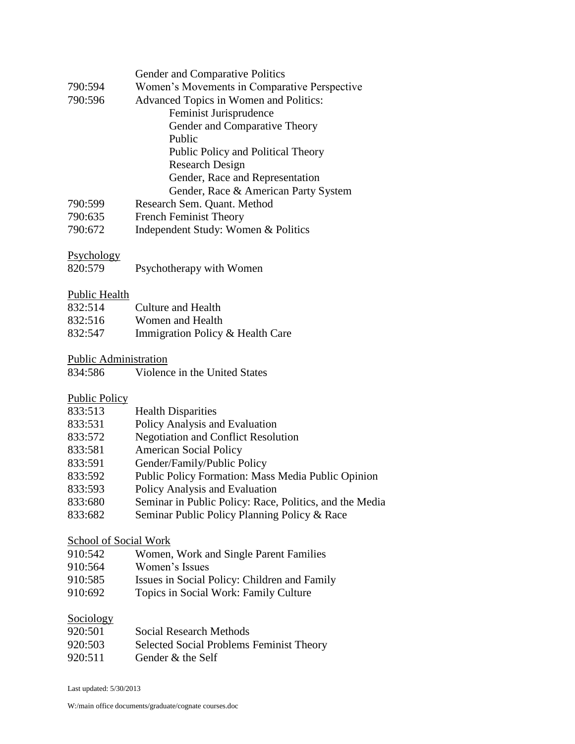|         | Gender and Comparative Politics              |
|---------|----------------------------------------------|
| 790:594 | Women's Movements in Comparative Perspective |
| 790:596 | Advanced Topics in Women and Politics:       |
|         | Feminist Jurisprudence                       |
|         | Gender and Comparative Theory                |
|         | Public                                       |
|         | Public Policy and Political Theory           |
|         | Research Design                              |
|         | Gender, Race and Representation              |
|         | Gender, Race & American Party System         |
| 790:599 | Research Sem. Quant. Method                  |
| 790:635 | <b>French Feminist Theory</b>                |
| 790:672 | Independent Study: Women & Politics          |

## Psychology

| 820:579 | Psychotherapy with Women |  |
|---------|--------------------------|--|

#### Public Health

| 832:514 | Culture and Health               |
|---------|----------------------------------|
| 832:516 | Women and Health                 |
| 832:547 | Immigration Policy & Health Care |

#### Public Administration

|  | 834:586 | Violence in the United States |
|--|---------|-------------------------------|
|--|---------|-------------------------------|

## Public Policy

| 833:513 | <b>Health Disparities</b> |
|---------|---------------------------|
|---------|---------------------------|

- 833:531 Policy Analysis and Evaluation
- 833:572 Negotiation and Conflict Resolution
- 833:581 American Social Policy
- 833:591 Gender/Family/Public Policy
- 833:592 Public Policy Formation: Mass Media Public Opinion
- 833:593 Policy Analysis and Evaluation
- 833:680 Seminar in Public Policy: Race, Politics, and the Media
- 833:682 Seminar Public Policy Planning Policy & Race

#### School of Social Work

- 910:542 Women, Work and Single Parent Families
- 910:564 Women's Issues
- 910:585 Issues in Social Policy: Children and Family
- 910:692 Topics in Social Work: Family Culture

#### Sociology

| 920:501 | Social Research Methods                  |
|---------|------------------------------------------|
| 920:503 | Selected Social Problems Feminist Theory |
| 920:511 | Gender & the Self                        |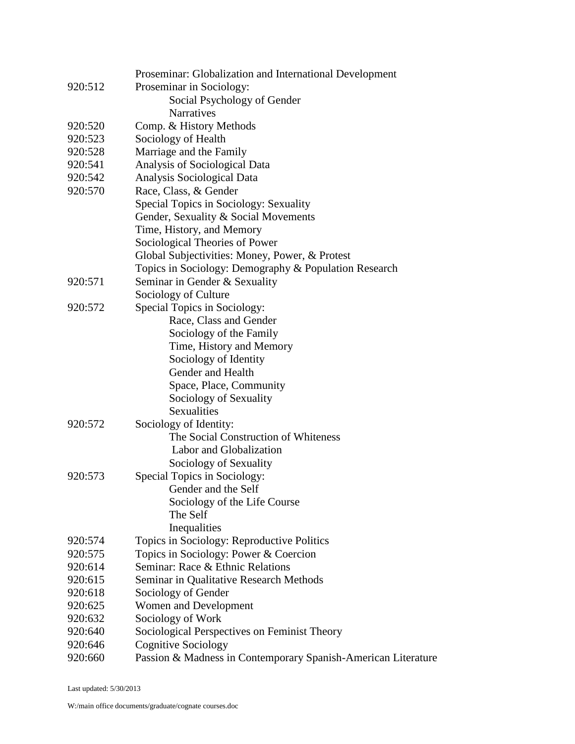|         | Proseminar: Globalization and International Development       |
|---------|---------------------------------------------------------------|
| 920:512 | Proseminar in Sociology:                                      |
|         | Social Psychology of Gender                                   |
|         | <b>Narratives</b>                                             |
| 920:520 | Comp. & History Methods                                       |
| 920:523 | Sociology of Health                                           |
| 920:528 | Marriage and the Family                                       |
| 920:541 | Analysis of Sociological Data                                 |
| 920:542 | Analysis Sociological Data                                    |
| 920:570 | Race, Class, & Gender                                         |
|         | Special Topics in Sociology: Sexuality                        |
|         | Gender, Sexuality & Social Movements                          |
|         | Time, History, and Memory                                     |
|         | Sociological Theories of Power                                |
|         | Global Subjectivities: Money, Power, & Protest                |
|         | Topics in Sociology: Demography & Population Research         |
| 920:571 | Seminar in Gender & Sexuality                                 |
|         | Sociology of Culture                                          |
| 920:572 | Special Topics in Sociology:                                  |
|         | Race, Class and Gender                                        |
|         | Sociology of the Family                                       |
|         | Time, History and Memory                                      |
|         | Sociology of Identity                                         |
|         | Gender and Health                                             |
|         | Space, Place, Community                                       |
|         | Sociology of Sexuality                                        |
|         | Sexualities                                                   |
| 920:572 | Sociology of Identity:                                        |
|         | The Social Construction of Whiteness                          |
|         | Labor and Globalization                                       |
|         | Sociology of Sexuality                                        |
| 920:573 | Special Topics in Sociology:                                  |
|         | Gender and the Self                                           |
|         | Sociology of the Life Course                                  |
|         | The Self                                                      |
|         | Inequalities                                                  |
| 920:574 | Topics in Sociology: Reproductive Politics                    |
| 920:575 | Topics in Sociology: Power & Coercion                         |
| 920:614 | Seminar: Race & Ethnic Relations                              |
| 920:615 | Seminar in Qualitative Research Methods                       |
| 920:618 | Sociology of Gender                                           |
| 920:625 | Women and Development                                         |
| 920:632 | Sociology of Work                                             |
| 920:640 | Sociological Perspectives on Feminist Theory                  |
| 920:646 | <b>Cognitive Sociology</b>                                    |
| 920:660 | Passion & Madness in Contemporary Spanish-American Literature |